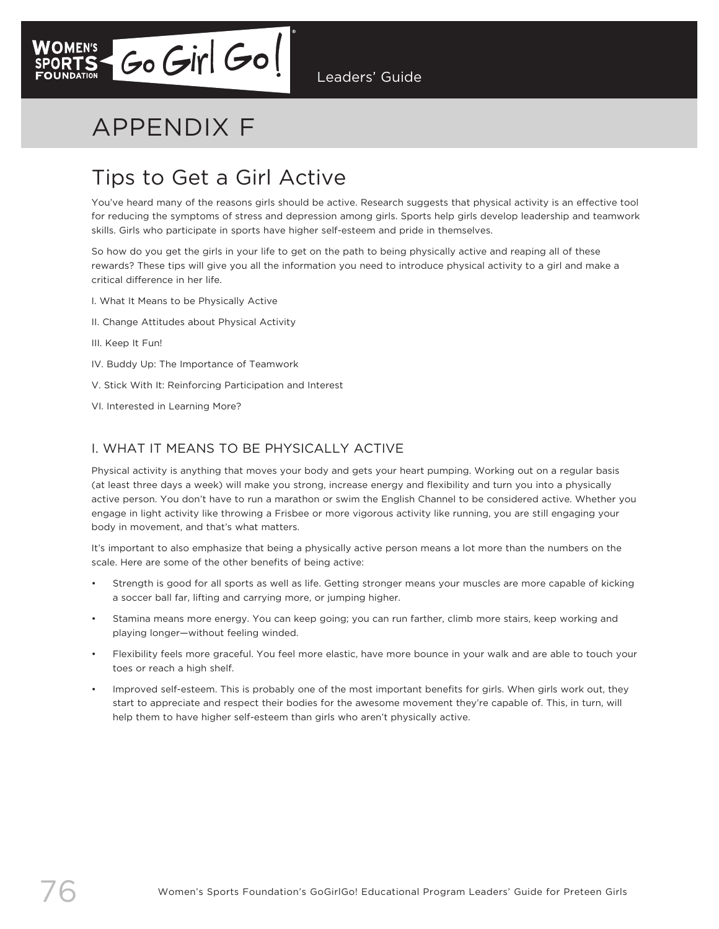

## Leaders' Guide

# APPENDIX F

## Tips to Get a Girl Active

You've heard many of the reasons girls should be active. Research suggests that physical activity is an effective tool for reducing the symptoms of stress and depression among girls. Sports help girls develop leadership and teamwork skills. Girls who participate in sports have higher self-esteem and pride in themselves.

So how do you get the girls in your life to get on the path to being physically active and reaping all of these rewards? These tips will give you all the information you need to introduce physical activity to a girl and make a critical difference in her life.

- I. What It Means to be Physically Active
- II. Change Attitudes about Physical Activity
- III. Keep It Fun!
- IV. Buddy Up: The Importance of Teamwork
- V. Stick With It: Reinforcing Participation and Interest
- VI. Interested in Learning More?

## I. WHAT IT MEANS TO BE PHYSICALLY ACTIVE

Physical activity is anything that moves your body and gets your heart pumping. Working out on a regular basis (at least three days a week) will make you strong, increase energy and flexibility and turn you into a physically active person. You don't have to run a marathon or swim the English Channel to be considered active. Whether you engage in light activity like throwing a Frisbee or more vigorous activity like running, you are still engaging your body in movement, and that's what matters.

It's important to also emphasize that being a physically active person means a lot more than the numbers on the scale. Here are some of the other benefits of being active:

- Strength is good for all sports as well as life. Getting stronger means your muscles are more capable of kicking a soccer ball far, lifting and carrying more, or jumping higher.
- Stamina means more energy. You can keep going; you can run farther, climb more stairs, keep working and playing longer—without feeling winded.
- Flexibility feels more graceful. You feel more elastic, have more bounce in your walk and are able to touch your toes or reach a high shelf.
- • Improved self-esteem. This is probably one of the most important benefits for girls. When girls work out, they start to appreciate and respect their bodies for the awesome movement they're capable of. This, in turn, will help them to have higher self-esteem than girls who aren't physically active.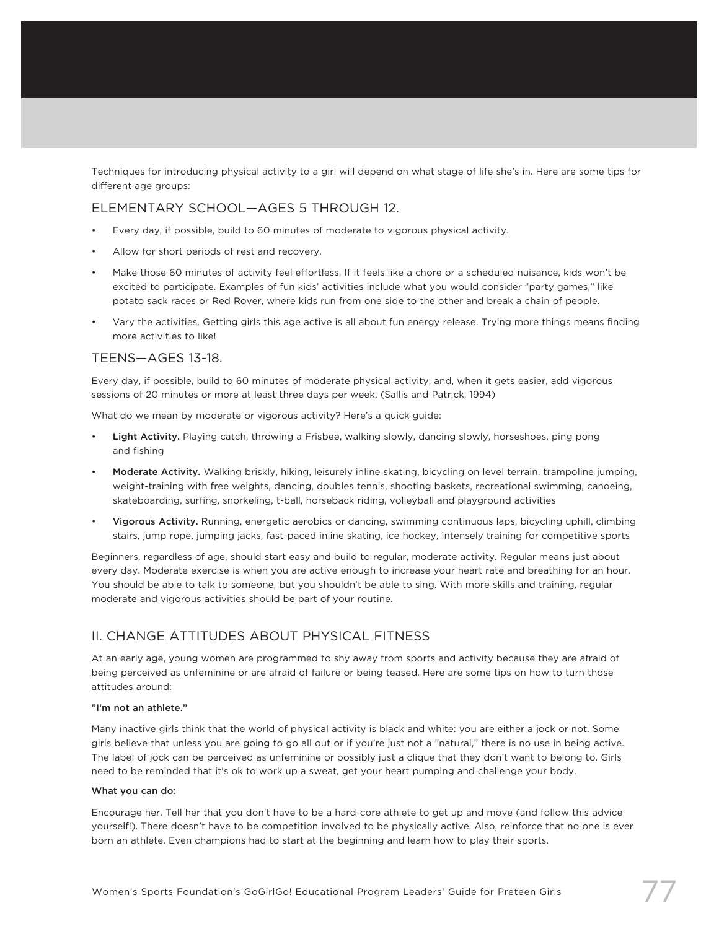Techniques for introducing physical activity to a girl will depend on what stage of life she's in. Here are some tips for different age groups:

## ELEMENTARY SCHOOL—AGES 5 THROUGH 12.

- Every day, if possible, build to 60 minutes of moderate to vigorous physical activity.
- Allow for short periods of rest and recovery.
- Make those 60 minutes of activity feel effortless. If it feels like a chore or a scheduled nuisance, kids won't be excited to participate. Examples of fun kids' activities include what you would consider "party games," like potato sack races or Red Rover, where kids run from one side to the other and break a chain of people.
- Vary the activities. Getting girls this age active is all about fun energy release. Trying more things means finding more activities to like!

#### TEENS—AGES 13-18.

Every day, if possible, build to 60 minutes of moderate physical activity; and, when it gets easier, add vigorous sessions of 20 minutes or more at least three days per week. (Sallis and Patrick, 1994)

What do we mean by moderate or vigorous activity? Here's a quick guide:

- Light Activity. Playing catch, throwing a Frisbee, walking slowly, dancing slowly, horseshoes, ping pong and fishing
- Moderate Activity. Walking briskly, hiking, leisurely inline skating, bicycling on level terrain, trampoline jumping, weight-training with free weights, dancing, doubles tennis, shooting baskets, recreational swimming, canoeing, skateboarding, surfing, snorkeling, t-ball, horseback riding, volleyball and playground activities
- Vigorous Activity. Running, energetic aerobics or dancing, swimming continuous laps, bicycling uphill, climbing stairs, jump rope, jumping jacks, fast-paced inline skating, ice hockey, intensely training for competitive sports

Beginners, regardless of age, should start easy and build to regular, moderate activity. Regular means just about every day. Moderate exercise is when you are active enough to increase your heart rate and breathing for an hour. You should be able to talk to someone, but you shouldn't be able to sing. With more skills and training, regular moderate and vigorous activities should be part of your routine.

## II. CHANGE ATTITUDES ABOUT PHYSICAL FITNESS

At an early age, young women are programmed to shy away from sports and activity because they are afraid of being perceived as unfeminine or are afraid of failure or being teased. Here are some tips on how to turn those attitudes around:

#### "I'm not an athlete."

Many inactive girls think that the world of physical activity is black and white: you are either a jock or not. Some girls believe that unless you are going to go all out or if you're just not a "natural," there is no use in being active. The label of jock can be perceived as unfeminine or possibly just a clique that they don't want to belong to. Girls need to be reminded that it's ok to work up a sweat, get your heart pumping and challenge your body.

#### What you can do:

Encourage her. Tell her that you don't have to be a hard-core athlete to get up and move (and follow this advice yourself!). There doesn't have to be competition involved to be physically active. Also, reinforce that no one is ever born an athlete. Even champions had to start at the beginning and learn how to play their sports.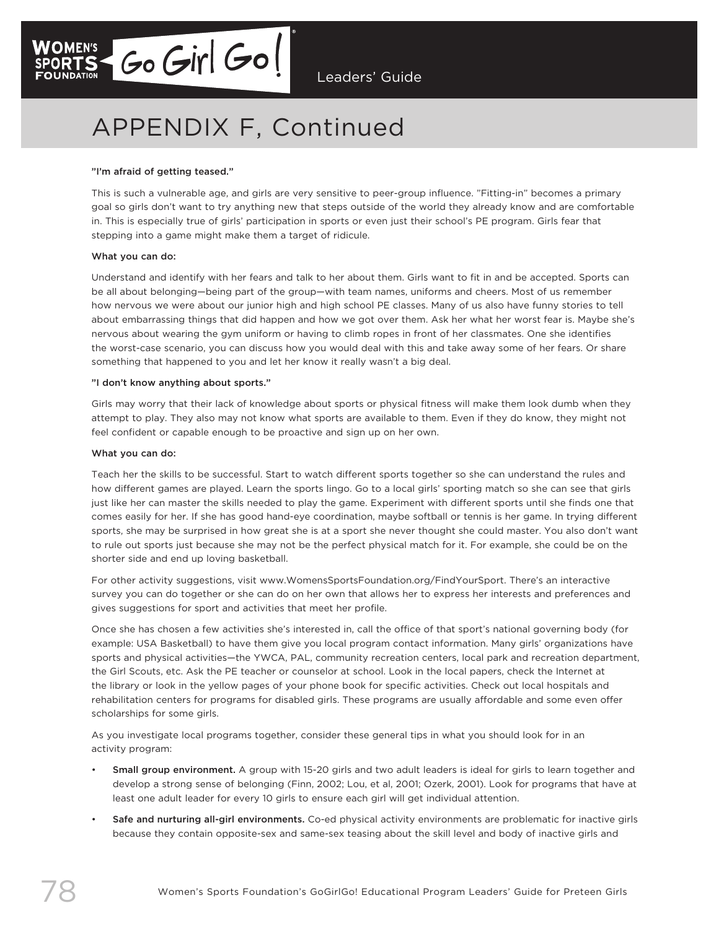

## APPENDIX F, Continued

#### "I'm afraid of getting teased."

 $G$ o Girl Go!

This is such a vulnerable age, and girls are very sensitive to peer-group influence. "Fitting-in" becomes a primary goal so girls don't want to try anything new that steps outside of the world they already know and are comfortable in. This is especially true of girls' participation in sports or even just their school's PE program. Girls fear that stepping into a game might make them a target of ridicule.

#### What you can do:

Understand and identify with her fears and talk to her about them. Girls want to fit in and be accepted. Sports can be all about belonging—being part of the group—with team names, uniforms and cheers. Most of us remember how nervous we were about our junior high and high school PE classes. Many of us also have funny stories to tell about embarrassing things that did happen and how we got over them. Ask her what her worst fear is. Maybe she's nervous about wearing the gym uniform or having to climb ropes in front of her classmates. One she identifies the worst-case scenario, you can discuss how you would deal with this and take away some of her fears. Or share something that happened to you and let her know it really wasn't a big deal.

#### "I don't know anything about sports."

Girls may worry that their lack of knowledge about sports or physical fitness will make them look dumb when they attempt to play. They also may not know what sports are available to them. Even if they do know, they might not feel confident or capable enough to be proactive and sign up on her own.

#### What you can do:

Teach her the skills to be successful. Start to watch different sports together so she can understand the rules and how different games are played. Learn the sports lingo. Go to a local girls' sporting match so she can see that girls just like her can master the skills needed to play the game. Experiment with different sports until she finds one that comes easily for her. If she has good hand-eye coordination, maybe softball or tennis is her game. In trying different sports, she may be surprised in how great she is at a sport she never thought she could master. You also don't want to rule out sports just because she may not be the perfect physical match for it. For example, she could be on the shorter side and end up loving basketball.

For other activity suggestions, visit www.WomensSportsFoundation.org/FindYourSport. There's an interactive survey you can do together or she can do on her own that allows her to express her interests and preferences and gives suggestions for sport and activities that meet her profile.

Once she has chosen a few activities she's interested in, call the office of that sport's national governing body (for example: USA Basketball) to have them give you local program contact information. Many girls' organizations have sports and physical activities—the YWCA, PAL, community recreation centers, local park and recreation department, the Girl Scouts, etc. Ask the PE teacher or counselor at school. Look in the local papers, check the Internet at the library or look in the yellow pages of your phone book for specific activities. Check out local hospitals and rehabilitation centers for programs for disabled girls. These programs are usually affordable and some even offer scholarships for some girls.

As you investigate local programs together, consider these general tips in what you should look for in an activity program:

- Small group environment. A group with 15-20 girls and two adult leaders is ideal for girls to learn together and develop a strong sense of belonging (Finn, 2002; Lou, et al, 2001; Ozerk, 2001). Look for programs that have at least one adult leader for every 10 girls to ensure each girl will get individual attention.
- Safe and nurturing all-girl environments. Co-ed physical activity environments are problematic for inactive girls because they contain opposite-sex and same-sex teasing about the skill level and body of inactive girls and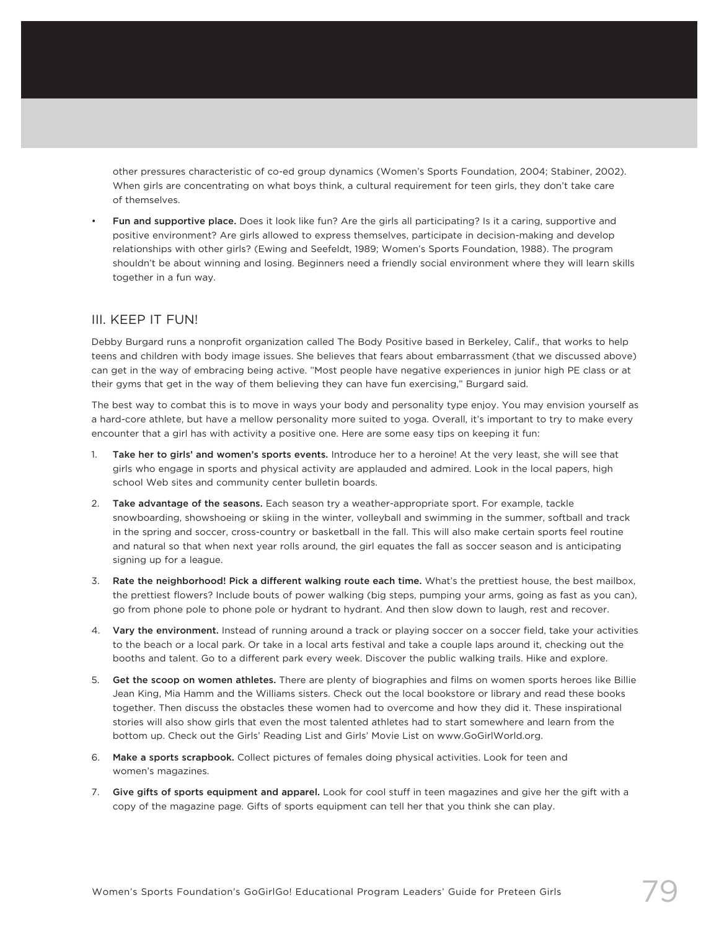other pressures characteristic of co-ed group dynamics (Women's Sports Foundation, 2004; Stabiner, 2002). When girls are concentrating on what boys think, a cultural requirement for teen girls, they don't take care of themselves.

Fun and supportive place. Does it look like fun? Are the girls all participating? Is it a caring, supportive and positive environment? Are girls allowed to express themselves, participate in decision-making and develop relationships with other girls? (Ewing and Seefeldt, 1989; Women's Sports Foundation, 1988). The program shouldn't be about winning and losing. Beginners need a friendly social environment where they will learn skills together in a fun way.

### III. KEEP IT FUN!

Debby Burgard runs a nonprofit organization called The Body Positive based in Berkeley, Calif., that works to help teens and children with body image issues. She believes that fears about embarrassment (that we discussed above) can get in the way of embracing being active. "Most people have negative experiences in junior high PE class or at their gyms that get in the way of them believing they can have fun exercising," Burgard said.

The best way to combat this is to move in ways your body and personality type enjoy. You may envision yourself as a hard-core athlete, but have a mellow personality more suited to yoga. Overall, it's important to try to make every encounter that a girl has with activity a positive one. Here are some easy tips on keeping it fun:

- 1. Take her to girls' and women's sports events. Introduce her to a heroine! At the very least, she will see that girls who engage in sports and physical activity are applauded and admired. Look in the local papers, high school Web sites and community center bulletin boards.
- 2. Take advantage of the seasons. Each season try a weather-appropriate sport. For example, tackle snowboarding, showshoeing or skiing in the winter, volleyball and swimming in the summer, softball and track in the spring and soccer, cross-country or basketball in the fall. This will also make certain sports feel routine and natural so that when next year rolls around, the girl equates the fall as soccer season and is anticipating signing up for a league.
- 3. Rate the neighborhood! Pick a different walking route each time. What's the prettiest house, the best mailbox, the prettiest flowers? Include bouts of power walking (big steps, pumping your arms, going as fast as you can), go from phone pole to phone pole or hydrant to hydrant. And then slow down to laugh, rest and recover.
- 4. Vary the environment. Instead of running around a track or playing soccer on a soccer field, take your activities to the beach or a local park. Or take in a local arts festival and take a couple laps around it, checking out the booths and talent. Go to a different park every week. Discover the public walking trails. Hike and explore.
- 5. Get the scoop on women athletes. There are plenty of biographies and films on women sports heroes like Billie Jean King, Mia Hamm and the Williams sisters. Check out the local bookstore or library and read these books together. Then discuss the obstacles these women had to overcome and how they did it. These inspirational stories will also show girls that even the most talented athletes had to start somewhere and learn from the bottom up. Check out the Girls' Reading List and Girls' Movie List on www.GoGirlWorld.org.
- 6. Make a sports scrapbook. Collect pictures of females doing physical activities. Look for teen and women's magazines.
- 7. Give gifts of sports equipment and apparel. Look for cool stuff in teen magazines and give her the gift with a copy of the magazine page. Gifts of sports equipment can tell her that you think she can play.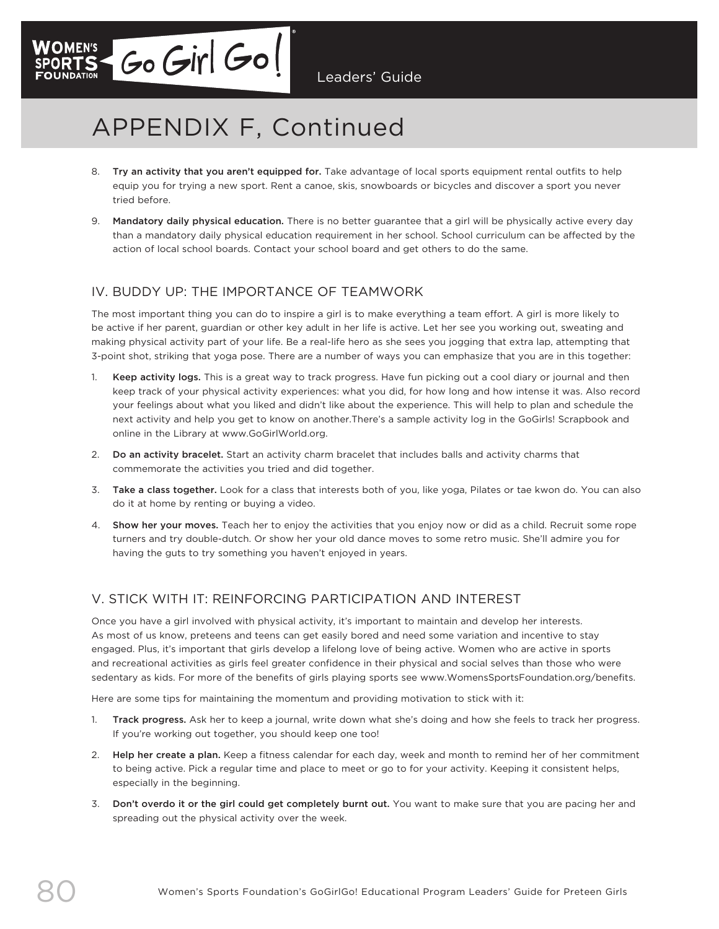## Leaders' Guide

## APPENDIX F, Continued

 $G$ o Girl Go!

- 8. Try an activity that you aren't equipped for. Take advantage of local sports equipment rental outfits to help equip you for trying a new sport. Rent a canoe, skis, snowboards or bicycles and discover a sport you never tried before.
- 9. Mandatory daily physical education. There is no better guarantee that a girl will be physically active every day than a mandatory daily physical education requirement in her school. School curriculum can be affected by the action of local school boards. Contact your school board and get others to do the same.

## IV. BUDDY UP: THE IMPORTANCE OF TEAMWORK

The most important thing you can do to inspire a girl is to make everything a team effort. A girl is more likely to be active if her parent, guardian or other key adult in her life is active. Let her see you working out, sweating and making physical activity part of your life. Be a real-life hero as she sees you jogging that extra lap, attempting that 3-point shot, striking that yoga pose. There are a number of ways you can emphasize that you are in this together:

- 1. Keep activity logs. This is a great way to track progress. Have fun picking out a cool diary or journal and then keep track of your physical activity experiences: what you did, for how long and how intense it was. Also record your feelings about what you liked and didn't like about the experience. This will help to plan and schedule the next activity and help you get to know on another.There's a sample activity log in the GoGirls! Scrapbook and online in the Library at www.GoGirlWorld.org.
- 2. Do an activity bracelet. Start an activity charm bracelet that includes balls and activity charms that commemorate the activities you tried and did together.
- 3. Take a class together. Look for a class that interests both of you, like yoga, Pilates or tae kwon do. You can also do it at home by renting or buying a video.
- 4. Show her your moves. Teach her to enjoy the activities that you enjoy now or did as a child. Recruit some rope turners and try double-dutch. Or show her your old dance moves to some retro music. She'll admire you for having the guts to try something you haven't enjoyed in years.

## V. STICK WITH IT: REINFORCING PARTICIPATION AND INTEREST

Once you have a girl involved with physical activity, it's important to maintain and develop her interests. As most of us know, preteens and teens can get easily bored and need some variation and incentive to stay engaged. Plus, it's important that girls develop a lifelong love of being active. Women who are active in sports and recreational activities as girls feel greater confidence in their physical and social selves than those who were sedentary as kids. For more of the benefits of girls playing sports see www.WomensSportsFoundation.org/benefits.

Here are some tips for maintaining the momentum and providing motivation to stick with it:

- 1. Track progress. Ask her to keep a journal, write down what she's doing and how she feels to track her progress. If you're working out together, you should keep one too!
- 2. Help her create a plan. Keep a fitness calendar for each day, week and month to remind her of her commitment to being active. Pick a regular time and place to meet or go to for your activity. Keeping it consistent helps, especially in the beginning.
- 3. Don't overdo it or the girl could get completely burnt out. You want to make sure that you are pacing her and spreading out the physical activity over the week.